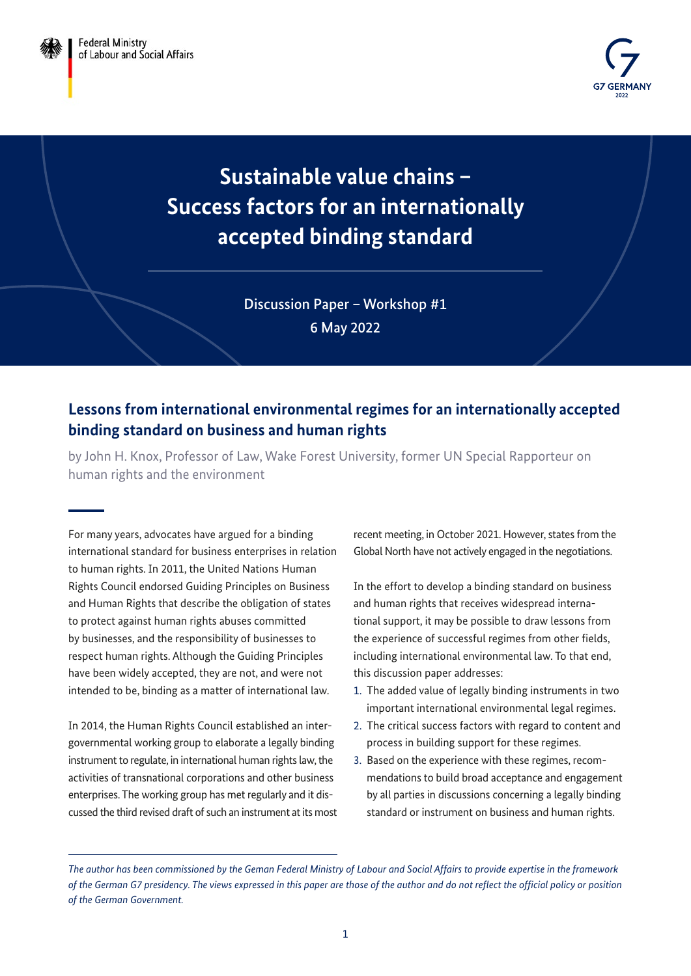

# **Sustainable value chains – Success factors for an internationally accepted binding standard**

Discussion Paper – Workshop #1 6 May 2022

## **Lessons from international environmental regimes for an internationally accepted binding standard on business and human rights**

by John H. Knox, Professor of Law, Wake Forest University, former UN Special Rapporteur on human rights and the environment

For many years, advocates have argued for a binding international standard for business enterprises in relation to human rights. In 2011, the United Nations Human Rights Council endorsed Guiding Principles on Business and Human Rights that describe the obligation of states to protect against human rights abuses committed by businesses, and the responsibility of businesses to respect human rights. Although the Guiding Principles have been widely accepted, they are not, and were not intended to be, binding as a matter of international law.

In 2014, the Human Rights Council established an intergovernmental working group to elaborate a legally binding instrument to regulate, in international human rights law, the activities of transnational corporations and other business enterprises. The working group has met regularly and it discussed the third revised draft of such an instrument at its most recent meeting, in October 2021. However, states from the Global North have not actively engaged in the negotiations.

In the effort to develop a binding standard on business and human rights that receives widespread international support, it may be possible to draw lessons from the experience of successful regimes from other fields, including international environmental law. To that end, this discussion paper addresses:

- 1. The added value of legally binding instruments in two important international environmental legal regimes.
- 2. The critical success factors with regard to content and process in building support for these regimes.
- 3. Based on the experience with these regimes, recommendations to build broad acceptance and engagement by all parties in discussions concerning a legally binding standard or instrument on business and human rights.

*The author has been commissioned by the Geman Federal Ministry of Labour and Social Affairs to provide expertise in the framework of the German G7 presidency. The views expressed in this paper are those of the author and do not reflect the official policy or position of the German Government.*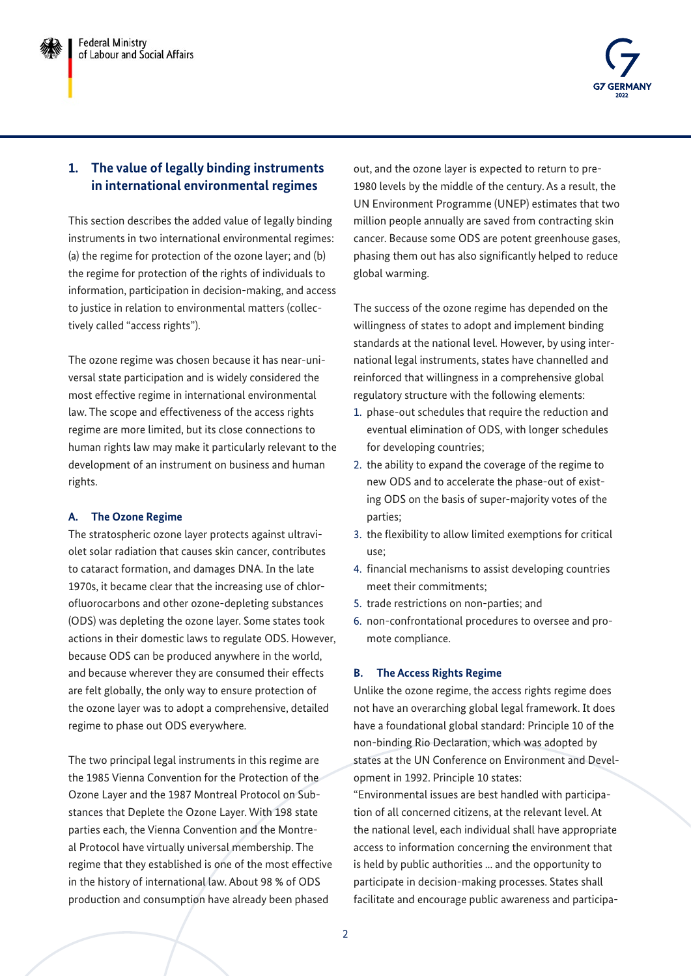

## **1. The value of legally binding instruments in international environmental regimes**

This section describes the added value of legally binding instruments in two international environmental regimes: (a) the regime for protection of the ozone layer; and (b) the regime for protection of the rights of individuals to information, participation in decision-making, and access to justice in relation to environmental matters (collectively called "access rights").

The ozone regime was chosen because it has near-universal state participation and is widely considered the most effective regime in international environmental law. The scope and effectiveness of the access rights regime are more limited, but its close connections to human rights law may make it particularly relevant to the development of an instrument on business and human rights.

## **A. The Ozone Regime**

The stratospheric ozone layer protects against ultraviolet solar radiation that causes skin cancer, contributes to cataract formation, and damages DNA. In the late 1970s, it became clear that the increasing use of chlorofluorocarbons and other ozone-depleting substances (ODS) was depleting the ozone layer. Some states took actions in their domestic laws to regulate ODS. However, because ODS can be produced anywhere in the world, and because wherever they are consumed their effects are felt globally, the only way to ensure protection of the ozone layer was to adopt a comprehensive, detailed regime to phase out ODS everywhere.

The two principal legal instruments in this regime are the 1985 Vienna Convention for the Protection of the Ozone Layer and the 1987 Montreal Protocol on Substances that Deplete the Ozone Layer. With 198 state parties each, the Vienna Convention and the Montreal Protocol have virtually universal membership. The regime that they established is one of the most effective in the history of international law. About 98 % of ODS production and consumption have already been phased

out, and the ozone layer is expected to return to pre-1980 levels by the middle of the century. As a result, the UN Environment Programme (UNEP) estimates that two million people annually are saved from contracting skin cancer. Because some ODS are potent greenhouse gases, phasing them out has also significantly helped to reduce global warming.

The success of the ozone regime has depended on the willingness of states to adopt and implement binding standards at the national level. However, by using international legal instruments, states have channelled and reinforced that willingness in a comprehensive global regulatory structure with the following elements:

- 1. phase-out schedules that require the reduction and eventual elimination of ODS, with longer schedules for developing countries;
- 2. the ability to expand the coverage of the regime to new ODS and to accelerate the phase-out of existing ODS on the basis of super-majority votes of the parties;
- 3. the flexibility to allow limited exemptions for critical use;
- 4. financial mechanisms to assist developing countries meet their commitments;
- 5. trade restrictions on non-parties; and
- 6. non-confrontational procedures to oversee and promote compliance.

## **B. The Access Rights Regime**

Unlike the ozone regime, the access rights regime does not have an overarching global legal framework. It does have a foundational global standard: Principle 10 of the non-binding Rio Declaration, which was adopted by states at the UN Conference on Environment and Development in 1992. Principle 10 states:

"Environmental issues are best handled with participation of all concerned citizens, at the relevant level. At the national level, each individual shall have appropriate access to information concerning the environment that is held by public authorities ... and the opportunity to participate in decision-making processes. States shall facilitate and encourage public awareness and participa-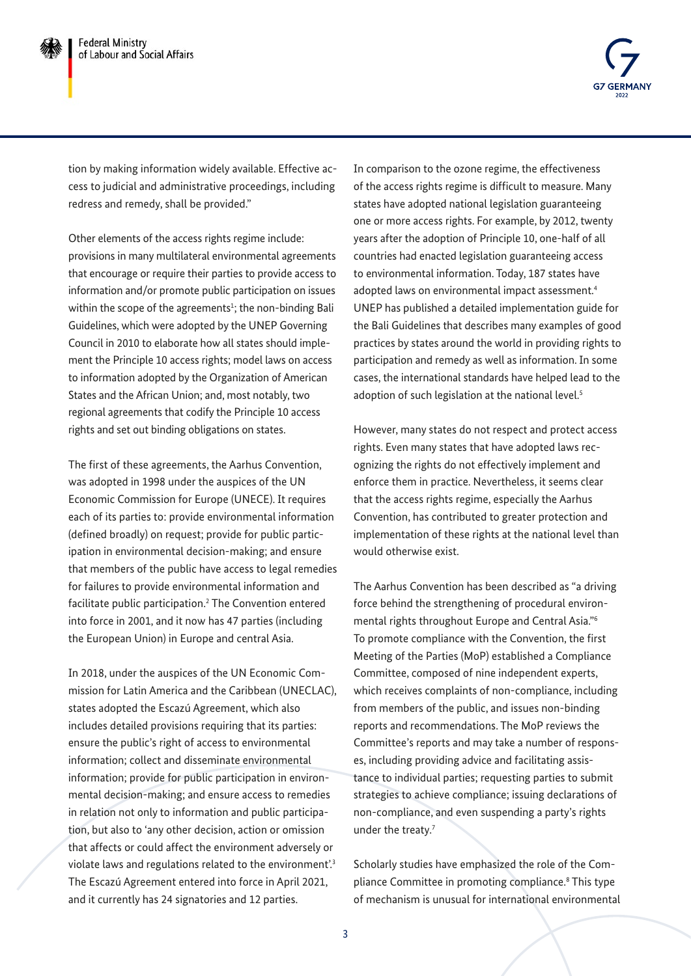

tion by making information widely available. Effective access to judicial and administrative proceedings, including redress and remedy, shall be provided."

Other elements of the access rights regime include: provisions in many multilateral environmental agreements that encourage or require their parties to provide access to information and/or promote public participation on issues within the scope of the agreements $1$ ; the non-binding Bali Guidelines, which were adopted by the UNEP Governing Council in 2010 to elaborate how all states should implement the Principle 10 access rights; model laws on access to information adopted by the Organization of American States and the African Union; and, most notably, two regional agreements that codify the Principle 10 access rights and set out binding obligations on states.

The first of these agreements, the Aarhus Convention, was adopted in 1998 under the auspices of the UN Economic Commission for Europe (UNECE). It requires each of its parties to: provide environmental information (defined broadly) on request; provide for public participation in environmental decision-making; and ensure that members of the public have access to legal remedies for failures to provide environmental information and facilitate public participation[.2](#page-10-0) The Convention entered into force in 2001, and it now has 47 parties (including the European Union) in Europe and central Asia.

In 2018, under the auspices of the UN Economic Commission for Latin America and the Caribbean (UNECLAC), states adopted the Escazú Agreement, which also includes detailed provisions requiring that its parties: ensure the public's right of access to environmental information; collect and disseminate environmental information; provide for public participation in environmental decision-making; and ensure access to remedies in relation not only to information and public participation, but also to 'any other decision, action or omission that affects or could affect the environment adversely or violate laws and regulations related to the environment'.<sup>3</sup> The Escazú Agreement entered into force in April 2021, and it currently has 24 signatories and 12 parties.

In comparison to the ozone regime, the effectiveness of the access rights regime is difficult to measure. Many states have adopted national legislation guaranteeing one or more access rights. For example, by 2012, twenty years after the adoption of Principle 10, one-half of all countries had enacted legislation guaranteeing access to environmental information. Today, 187 states have adopted laws on environmental impact assessment.<sup>[4](#page-10-0)</sup> UNEP has published a detailed implementation guide for the Bali Guidelines that describes many examples of good practices by states around the world in providing rights to participation and remedy as well as information. In some cases, the international standards have helped lead to the adoption of such legislation at the national level.<sup>5</sup>

However, many states do not respect and protect access rights. Even many states that have adopted laws recognizing the rights do not effectively implement and enforce them in practice. Nevertheless, it seems clear that the access rights regime, especially the Aarhus Convention, has contributed to greater protection and implementation of these rights at the national level than would otherwise exist.

The Aarhus Convention has been described as "a driving force behind the strengthening of procedural environmental rights throughout Europe and Central Asia.["6](#page-10-0) To promote compliance with the Convention, the first Meeting of the Parties (MoP) established a Compliance Committee, composed of nine independent experts, which receives complaints of non-compliance, including from members of the public, and issues non-binding reports and recommendations. The MoP reviews the Committee's reports and may take a number of responses, including providing advice and facilitating assistance to individual parties; requesting parties to submit strategies to achieve compliance; issuing declarations of non-compliance, and even suspending a party's rights under the treaty.<sup>7</sup>

Scholarly studies have emphasized the role of the Com-pliance Committee in promoting compliance.<sup>[8](#page-10-0)</sup> This type of mechanism is unusual for international environmental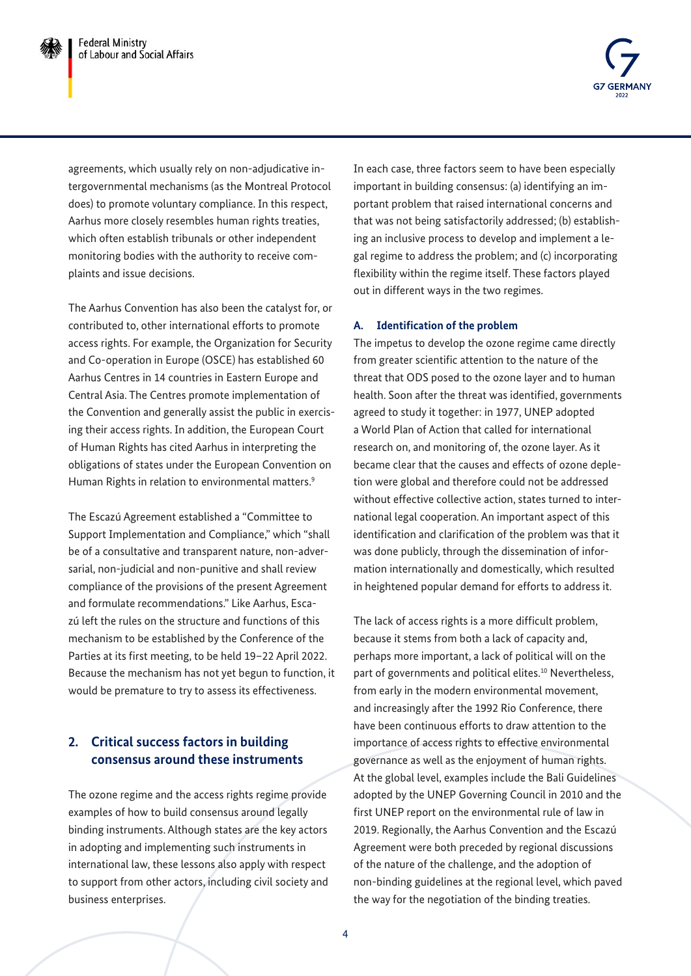

agreements, which usually rely on non-adjudicative intergovernmental mechanisms (as the Montreal Protocol does) to promote voluntary compliance. In this respect, Aarhus more closely resembles human rights treaties, which often establish tribunals or other independent monitoring bodies with the authority to receive complaints and issue decisions.

The Aarhus Convention has also been the catalyst for, or contributed to, other international efforts to promote access rights. For example, the Organization for Security and Co-operation in Europe (OSCE) has established 60 Aarhus Centres in 14 countries in Eastern Europe and Central Asia. The Centres promote implementation of the Convention and generally assist the public in exercising their access rights. In addition, the European Court of Human Rights has cited Aarhus in interpreting the obligations of states under the European Convention on Human Rights in relation to environmental matters.<sup>9</sup>

The Escazú Agreement established a "Committee to Support Implementation and Compliance," which "shall be of a consultative and transparent nature, non-adversarial, non-judicial and non-punitive and shall review compliance of the provisions of the present Agreement and formulate recommendations." Like Aarhus, Escazú left the rules on the structure and functions of this mechanism to be established by the Conference of the Parties at its first meeting, to be held 19–22 April 2022. Because the mechanism has not yet begun to function, it would be premature to try to assess its effectiveness.

## **2. Critical success factors in building consensus around these instruments**

The ozone regime and the access rights regime provide examples of how to build consensus around legally binding instruments. Although states are the key actors in adopting and implementing such instruments in international law, these lessons also apply with respect to support from other actors, including civil society and business enterprises.

In each case, three factors seem to have been especially important in building consensus: (a) identifying an important problem that raised international concerns and that was not being satisfactorily addressed; (b) establishing an inclusive process to develop and implement a legal regime to address the problem; and (c) incorporating flexibility within the regime itself. These factors played out in different ways in the two regimes.

#### **A. Identification of the problem**

The impetus to develop the ozone regime came directly from greater scientific attention to the nature of the threat that ODS posed to the ozone layer and to human health. Soon after the threat was identified, governments agreed to study it together: in 1977, UNEP adopted a World Plan of Action that called for international research on, and monitoring of, the ozone layer. As it became clear that the causes and effects of ozone depletion were global and therefore could not be addressed without effective collective action, states turned to international legal cooperation. An important aspect of this identification and clarification of the problem was that it was done publicly, through the dissemination of information internationally and domestically, which resulted in heightened popular demand for efforts to address it.

The lack of access rights is a more difficult problem, because it stems from both a lack of capacity and, perhaps more important, a lack of political will on the part of governments and political elites.<sup>10</sup> Nevertheless, from early in the modern environmental movement, and increasingly after the 1992 Rio Conference, there have been continuous efforts to draw attention to the importance of access rights to effective environmental governance as well as the enjoyment of human rights. At the global level, examples include the Bali Guidelines adopted by the UNEP Governing Council in 2010 and the first UNEP report on the environmental rule of law in 2019. Regionally, the Aarhus Convention and the Escazú Agreement were both preceded by regional discussions of the nature of the challenge, and the adoption of non-binding guidelines at the regional level, which paved the way for the negotiation of the binding treaties.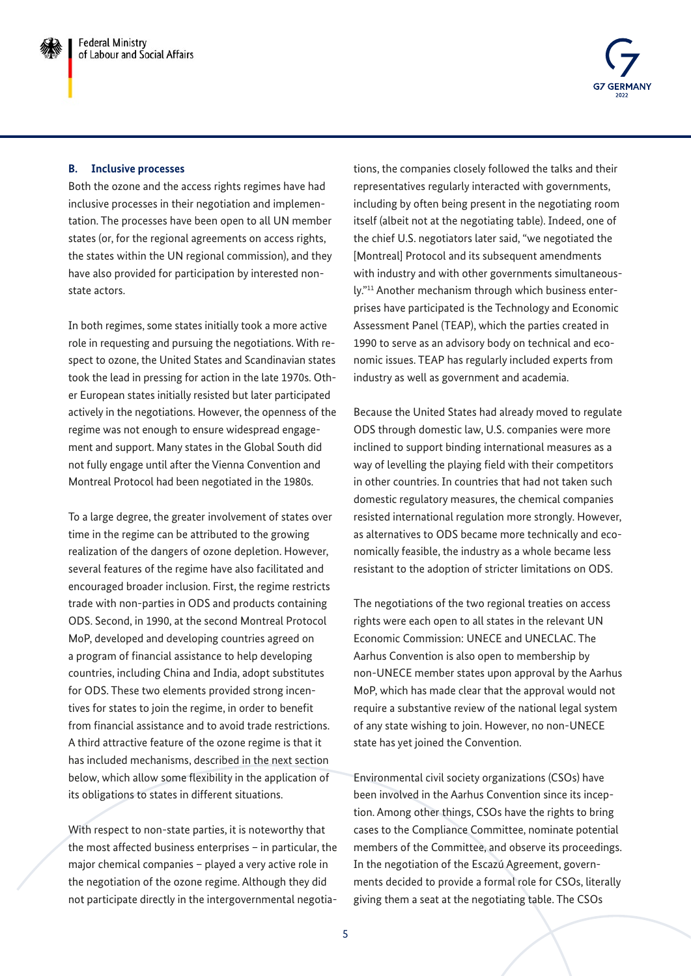

#### **B. Inclusive processes**

Both the ozone and the access rights regimes have had inclusive processes in their negotiation and implementation. The processes have been open to all UN member states (or, for the regional agreements on access rights, the states within the UN regional commission), and they have also provided for participation by interested nonstate actors.

In both regimes, some states initially took a more active role in requesting and pursuing the negotiations. With respect to ozone, the United States and Scandinavian states took the lead in pressing for action in the late 1970s. Other European states initially resisted but later participated actively in the negotiations. However, the openness of the regime was not enough to ensure widespread engagement and support. Many states in the Global South did not fully engage until after the Vienna Convention and Montreal Protocol had been negotiated in the 1980s.

To a large degree, the greater involvement of states over time in the regime can be attributed to the growing realization of the dangers of ozone depletion. However, several features of the regime have also facilitated and encouraged broader inclusion. First, the regime restricts trade with non-parties in ODS and products containing ODS. Second, in 1990, at the second Montreal Protocol MoP, developed and developing countries agreed on a program of financial assistance to help developing countries, including China and India, adopt substitutes for ODS. These two elements provided strong incentives for states to join the regime, in order to benefit from financial assistance and to avoid trade restrictions. A third attractive feature of the ozone regime is that it has included mechanisms, described in the next section below, which allow some flexibility in the application of its obligations to states in different situations.

With respect to non-state parties, it is noteworthy that the most affected business enterprises – in particular, the major chemical companies – played a very active role in the negotiation of the ozone regime. Although they did not participate directly in the intergovernmental negotia-

tions, the companies closely followed the talks and their representatives regularly interacted with governments, including by often being present in the negotiating room itself (albeit not at the negotiating table). Indeed, one of the chief U.S. negotiators later said, "we negotiated the [Montreal] Protocol and its subsequent amendments with industry and with other governments simultaneously."[11](#page-10-0) Another mechanism through which business enterprises have participated is the Technology and Economic Assessment Panel (TEAP), which the parties created in 1990 to serve as an advisory body on technical and economic issues. TEAP has regularly included experts from industry as well as government and academia.

Because the United States had already moved to regulate ODS through domestic law, U.S. companies were more inclined to support binding international measures as a way of levelling the playing field with their competitors in other countries. In countries that had not taken such domestic regulatory measures, the chemical companies resisted international regulation more strongly. However, as alternatives to ODS became more technically and economically feasible, the industry as a whole became less resistant to the adoption of stricter limitations on ODS.

The negotiations of the two regional treaties on access rights were each open to all states in the relevant UN Economic Commission: UNECE and UNECLAC. The Aarhus Convention is also open to membership by non-UNECE member states upon approval by the Aarhus MoP, which has made clear that the approval would not require a substantive review of the national legal system of any state wishing to join. However, no non-UNECE state has yet joined the Convention.

Environmental civil society organizations (CSOs) have been involved in the Aarhus Convention since its inception. Among other things, CSOs have the rights to bring cases to the Compliance Committee, nominate potential members of the Committee, and observe its proceedings. In the negotiation of the Escazú Agreement, governments decided to provide a formal role for CSOs, literally giving them a seat at the negotiating table. The CSOs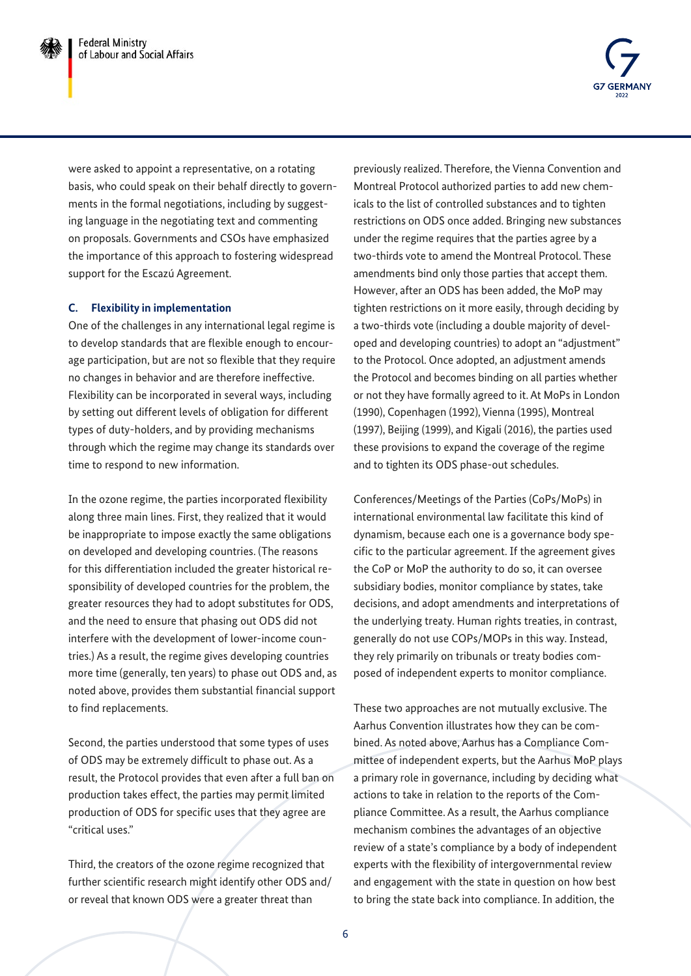

were asked to appoint a representative, on a rotating basis, who could speak on their behalf directly to governments in the formal negotiations, including by suggesting language in the negotiating text and commenting on proposals. Governments and CSOs have emphasized the importance of this approach to fostering widespread support for the Escazú Agreement.

#### **C. Flexibility in implementation**

One of the challenges in any international legal regime is to develop standards that are flexible enough to encourage participation, but are not so flexible that they require no changes in behavior and are therefore ineffective. Flexibility can be incorporated in several ways, including by setting out different levels of obligation for different types of duty-holders, and by providing mechanisms through which the regime may change its standards over time to respond to new information.

In the ozone regime, the parties incorporated flexibility along three main lines. First, they realized that it would be inappropriate to impose exactly the same obligations on developed and developing countries. (The reasons for this differentiation included the greater historical responsibility of developed countries for the problem, the greater resources they had to adopt substitutes for ODS, and the need to ensure that phasing out ODS did not interfere with the development of lower-income countries.) As a result, the regime gives developing countries more time (generally, ten years) to phase out ODS and, as noted above, provides them substantial financial support to find replacements.

Second, the parties understood that some types of uses of ODS may be extremely difficult to phase out. As a result, the Protocol provides that even after a full ban on production takes effect, the parties may permit limited production of ODS for specific uses that they agree are "critical uses."

Third, the creators of the ozone regime recognized that further scientific research might identify other ODS and/ or reveal that known ODS were a greater threat than

previously realized. Therefore, the Vienna Convention and Montreal Protocol authorized parties to add new chemicals to the list of controlled substances and to tighten restrictions on ODS once added. Bringing new substances under the regime requires that the parties agree by a two-thirds vote to amend the Montreal Protocol. These amendments bind only those parties that accept them. However, after an ODS has been added, the MoP may tighten restrictions on it more easily, through deciding by a two-thirds vote (including a double majority of developed and developing countries) to adopt an "adjustment" to the Protocol. Once adopted, an adjustment amends the Protocol and becomes binding on all parties whether or not they have formally agreed to it. At MoPs in London (1990), Copenhagen (1992), Vienna (1995), Montreal (1997), Beijing (1999), and Kigali (2016), the parties used these provisions to expand the coverage of the regime and to tighten its ODS phase-out schedules.

Conferences/Meetings of the Parties (CoPs/MoPs) in international environmental law facilitate this kind of dynamism, because each one is a governance body specific to the particular agreement. If the agreement gives the CoP or MoP the authority to do so, it can oversee subsidiary bodies, monitor compliance by states, take decisions, and adopt amendments and interpretations of the underlying treaty. Human rights treaties, in contrast, generally do not use COPs/MOPs in this way. Instead, they rely primarily on tribunals or treaty bodies composed of independent experts to monitor compliance.

These two approaches are not mutually exclusive. The Aarhus Convention illustrates how they can be combined. As noted above, Aarhus has a Compliance Committee of independent experts, but the Aarhus MoP plays a primary role in governance, including by deciding what actions to take in relation to the reports of the Compliance Committee. As a result, the Aarhus compliance mechanism combines the advantages of an objective review of a state's compliance by a body of independent experts with the flexibility of intergovernmental review and engagement with the state in question on how best to bring the state back into compliance. In addition, the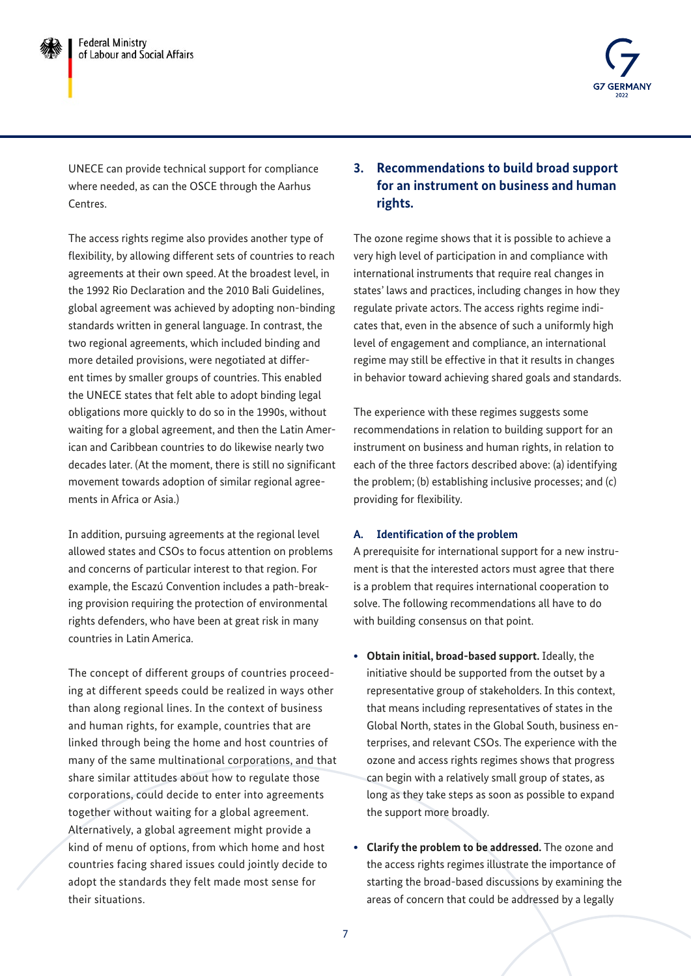

UNECE can provide technical support for compliance where needed, as can the OSCE through the Aarhus Centres.

The access rights regime also provides another type of flexibility, by allowing different sets of countries to reach agreements at their own speed. At the broadest level, in the 1992 Rio Declaration and the 2010 Bali Guidelines, global agreement was achieved by adopting non-binding standards written in general language. In contrast, the two regional agreements, which included binding and more detailed provisions, were negotiated at different times by smaller groups of countries. This enabled the UNECE states that felt able to adopt binding legal obligations more quickly to do so in the 1990s, without waiting for a global agreement, and then the Latin American and Caribbean countries to do likewise nearly two decades later. (At the moment, there is still no significant movement towards adoption of similar regional agreements in Africa or Asia.)

In addition, pursuing agreements at the regional level allowed states and CSOs to focus attention on problems and concerns of particular interest to that region. For example, the Escazú Convention includes a path-breaking provision requiring the protection of environmental rights defenders, who have been at great risk in many countries in Latin America.

The concept of different groups of countries proceeding at different speeds could be realized in ways other than along regional lines. In the context of business and human rights, for example, countries that are linked through being the home and host countries of many of the same multinational corporations, and that share similar attitudes about how to regulate those corporations, could decide to enter into agreements together without waiting for a global agreement. Alternatively, a global agreement might provide a kind of menu of options, from which home and host countries facing shared issues could jointly decide to adopt the standards they felt made most sense for their situations.

## **3. Recommendations to build broad support for an instrument on business and human rights.**

The ozone regime shows that it is possible to achieve a very high level of participation in and compliance with international instruments that require real changes in states' laws and practices, including changes in how they regulate private actors. The access rights regime indicates that, even in the absence of such a uniformly high level of engagement and compliance, an international regime may still be effective in that it results in changes in behavior toward achieving shared goals and standards.

The experience with these regimes suggests some recommendations in relation to building support for an instrument on business and human rights, in relation to each of the three factors described above: (a) identifying the problem; (b) establishing inclusive processes; and (c) providing for flexibility.

#### **A. Identification of the problem**

A prerequisite for international support for a new instrument is that the interested actors must agree that there is a problem that requires international cooperation to solve. The following recommendations all have to do with building consensus on that point.

- **• Obtain initial, broad-based support.** Ideally, the initiative should be supported from the outset by a representative group of stakeholders. In this context, that means including representatives of states in the Global North, states in the Global South, business enterprises, and relevant CSOs. The experience with the ozone and access rights regimes shows that progress can begin with a relatively small group of states, as long as they take steps as soon as possible to expand the support more broadly.
- **• Clarify the problem to be addressed.** The ozone and the access rights regimes illustrate the importance of starting the broad-based discussions by examining the areas of concern that could be addressed by a legally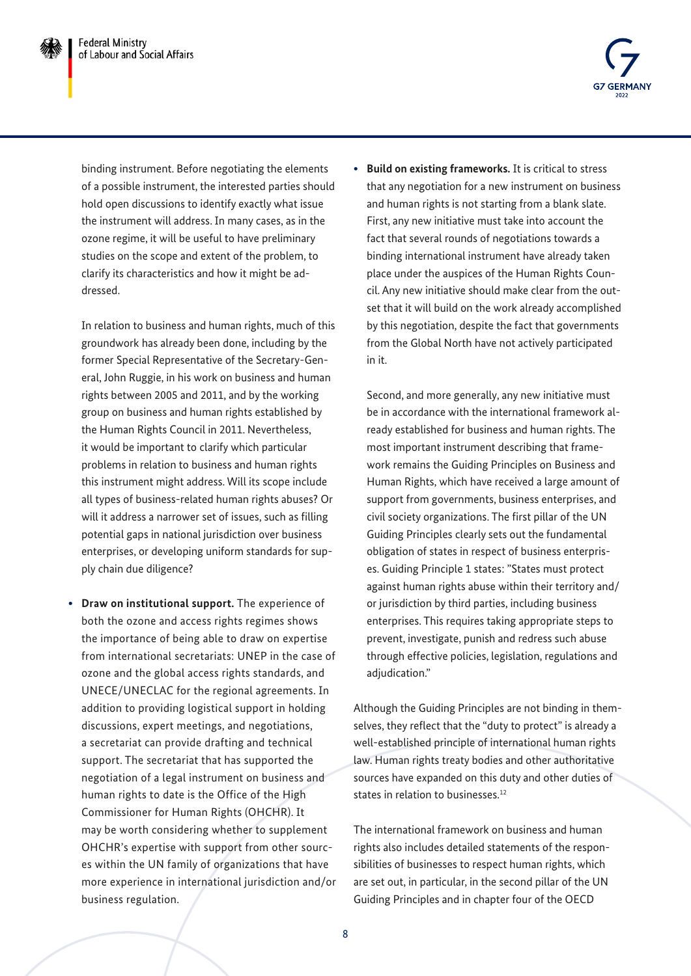

binding instrument. Before negotiating the elements of a possible instrument, the interested parties should hold open discussions to identify exactly what issue the instrument will address. In many cases, as in the ozone regime, it will be useful to have preliminary studies on the scope and extent of the problem, to clarify its characteristics and how it might be addressed.

In relation to business and human rights, much of this groundwork has already been done, including by the former Special Representative of the Secretary-General, John Ruggie, in his work on business and human rights between 2005 and 2011, and by the working group on business and human rights established by the Human Rights Council in 2011. Nevertheless, it would be important to clarify which particular problems in relation to business and human rights this instrument might address. Will its scope include all types of business-related human rights abuses? Or will it address a narrower set of issues, such as filling potential gaps in national jurisdiction over business enterprises, or developing uniform standards for supply chain due diligence?

**• Draw on institutional support.** The experience of both the ozone and access rights regimes shows the importance of being able to draw on expertise from international secretariats: UNEP in the case of ozone and the global access rights standards, and UNECE/UNECLAC for the regional agreements. In addition to providing logistical support in holding discussions, expert meetings, and negotiations, a secretariat can provide drafting and technical support. The secretariat that has supported the negotiation of a legal instrument on business and human rights to date is the Office of the High Commissioner for Human Rights (OHCHR). It may be worth considering whether to supplement OHCHR's expertise with support from other sources within the UN family of organizations that have more experience in international jurisdiction and/or business regulation.

**• Build on existing frameworks.** It is critical to stress that any negotiation for a new instrument on business and human rights is not starting from a blank slate. First, any new initiative must take into account the fact that several rounds of negotiations towards a binding international instrument have already taken place under the auspices of the Human Rights Council. Any new initiative should make clear from the outset that it will build on the work already accomplished by this negotiation, despite the fact that governments from the Global North have not actively participated in it.

Second, and more generally, any new initiative must be in accordance with the international framework already established for business and human rights. The most important instrument describing that framework remains the Guiding Principles on Business and Human Rights, which have received a large amount of support from governments, business enterprises, and civil society organizations. The first pillar of the UN Guiding Principles clearly sets out the fundamental obligation of states in respect of business enterprises. Guiding Principle 1 states: "States must protect against human rights abuse within their territory and/ or jurisdiction by third parties, including business enterprises. This requires taking appropriate steps to prevent, investigate, punish and redress such abuse through effective policies, legislation, regulations and adjudication."

Although the Guiding Principles are not binding in themselves, they reflect that the "duty to protect" is already a well-established principle of international human rights law. Human rights treaty bodies and other authoritative sources have expanded on this duty and other duties of states in relation to businesses<sup>[12](#page-10-0)</sup>

The international framework on business and human rights also includes detailed statements of the responsibilities of businesses to respect human rights, which are set out, in particular, in the second pillar of the UN Guiding Principles and in chapter four of the OECD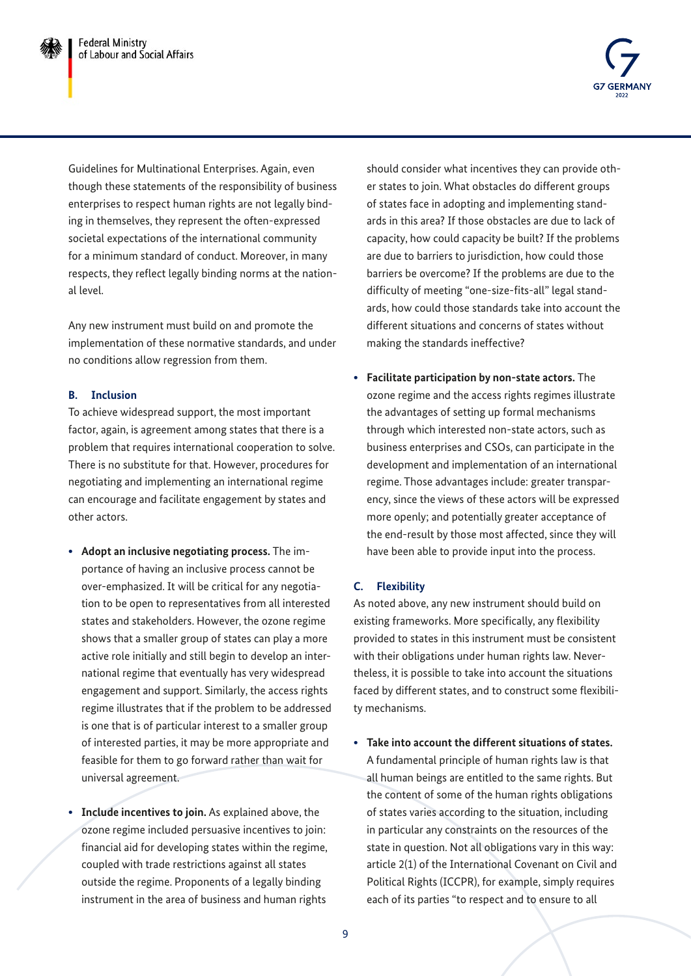

Guidelines for Multinational Enterprises. Again, even though these statements of the responsibility of business enterprises to respect human rights are not legally binding in themselves, they represent the often-expressed societal expectations of the international community for a minimum standard of conduct. Moreover, in many respects, they reflect legally binding norms at the national level.

Any new instrument must build on and promote the implementation of these normative standards, and under no conditions allow regression from them.

#### **B. Inclusion**

To achieve widespread support, the most important factor, again, is agreement among states that there is a problem that requires international cooperation to solve. There is no substitute for that. However, procedures for negotiating and implementing an international regime can encourage and facilitate engagement by states and other actors.

- **• Adopt an inclusive negotiating process.** The importance of having an inclusive process cannot be over-emphasized. It will be critical for any negotiation to be open to representatives from all interested states and stakeholders. However, the ozone regime shows that a smaller group of states can play a more active role initially and still begin to develop an international regime that eventually has very widespread engagement and support. Similarly, the access rights regime illustrates that if the problem to be addressed is one that is of particular interest to a smaller group of interested parties, it may be more appropriate and feasible for them to go forward rather than wait for universal agreement.
- **• Include incentives to join.** As explained above, the ozone regime included persuasive incentives to join: financial aid for developing states within the regime, coupled with trade restrictions against all states outside the regime. Proponents of a legally binding instrument in the area of business and human rights

should consider what incentives they can provide other states to join. What obstacles do different groups of states face in adopting and implementing standards in this area? If those obstacles are due to lack of capacity, how could capacity be built? If the problems are due to barriers to jurisdiction, how could those barriers be overcome? If the problems are due to the difficulty of meeting "one-size-fits-all" legal standards, how could those standards take into account the different situations and concerns of states without making the standards ineffective?

**• Facilitate participation by non-state actors.** The ozone regime and the access rights regimes illustrate the advantages of setting up formal mechanisms through which interested non-state actors, such as business enterprises and CSOs, can participate in the development and implementation of an international regime. Those advantages include: greater transparency, since the views of these actors will be expressed more openly; and potentially greater acceptance of the end-result by those most affected, since they will have been able to provide input into the process.

## **C. Flexibility**

As noted above, any new instrument should build on existing frameworks. More specifically, any flexibility provided to states in this instrument must be consistent with their obligations under human rights law. Nevertheless, it is possible to take into account the situations faced by different states, and to construct some flexibility mechanisms.

**• Take into account the different situations of states.** A fundamental principle of human rights law is that all human beings are entitled to the same rights. But the content of some of the human rights obligations of states varies according to the situation, including in particular any constraints on the resources of the state in question. Not all obligations vary in this way: article 2(1) of the International Covenant on Civil and Political Rights (ICCPR), for example, simply requires each of its parties "to respect and to ensure to all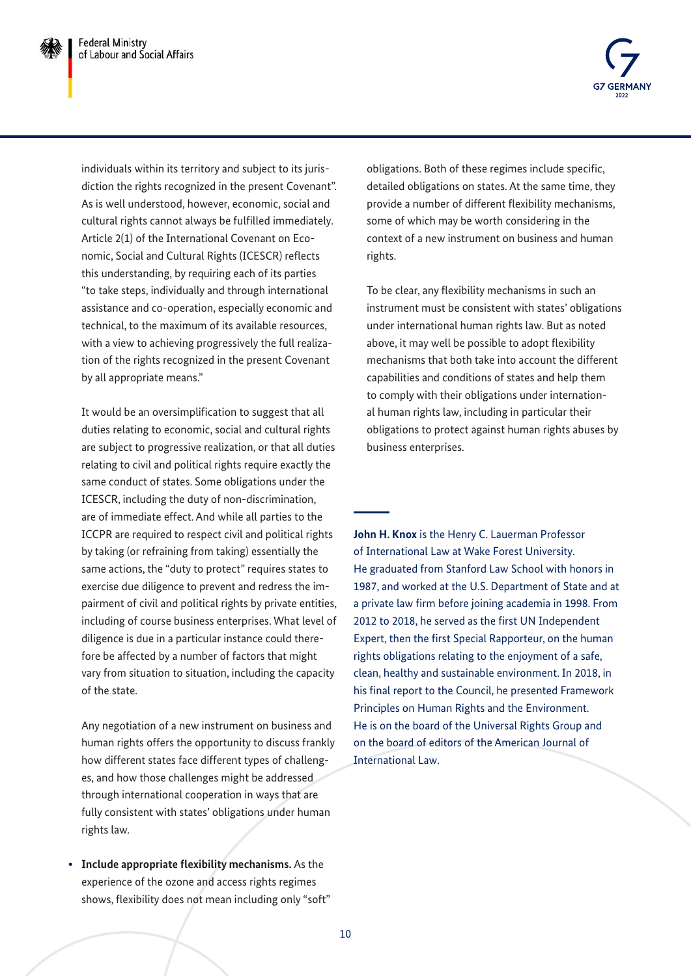

individuals within its territory and subject to its jurisdiction the rights recognized in the present Covenant". As is well understood, however, economic, social and cultural rights cannot always be fulfilled immediately. Article 2(1) of the International Covenant on Economic, Social and Cultural Rights (ICESCR) reflects this understanding, by requiring each of its parties "to take steps, individually and through international assistance and co-operation, especially economic and technical, to the maximum of its available resources, with a view to achieving progressively the full realization of the rights recognized in the present Covenant by all appropriate means."

It would be an oversimplification to suggest that all duties relating to economic, social and cultural rights are subject to progressive realization, or that all duties relating to civil and political rights require exactly the same conduct of states. Some obligations under the ICESCR, including the duty of non-discrimination, are of immediate effect. And while all parties to the ICCPR are required to respect civil and political rights by taking (or refraining from taking) essentially the same actions, the "duty to protect" requires states to exercise due diligence to prevent and redress the impairment of civil and political rights by private entities, including of course business enterprises. What level of diligence is due in a particular instance could therefore be affected by a number of factors that might vary from situation to situation, including the capacity of the state.

Any negotiation of a new instrument on business and human rights offers the opportunity to discuss frankly how different states face different types of challenges, and how those challenges might be addressed through international cooperation in ways that are fully consistent with states' obligations under human rights law.

**• Include appropriate flexibility mechanisms.** As the experience of the ozone and access rights regimes shows, flexibility does not mean including only "soft" obligations. Both of these regimes include specific, detailed obligations on states. At the same time, they provide a number of different flexibility mechanisms, some of which may be worth considering in the context of a new instrument on business and human rights.

To be clear, any flexibility mechanisms in such an instrument must be consistent with states' obligations under international human rights law. But as noted above, it may well be possible to adopt flexibility mechanisms that both take into account the different capabilities and conditions of states and help them to comply with their obligations under international human rights law, including in particular their obligations to protect against human rights abuses by business enterprises.

**John H. Knox** is the Henry C. Lauerman Professor of International Law at Wake Forest University. He graduated from Stanford Law School with honors in 1987, and worked at the U.S. Department of State and at a private law firm before joining academia in 1998. From 2012 to 2018, he served as the first UN Independent Expert, then the first Special Rapporteur, on the human rights obligations relating to the enjoyment of a safe, clean, healthy and sustainable environment. In 2018, in his final report to the Council, he presented Framework Principles on Human Rights and the Environment. He is on the board of the Universal Rights Group and on the board of editors of the American Journal of International Law.